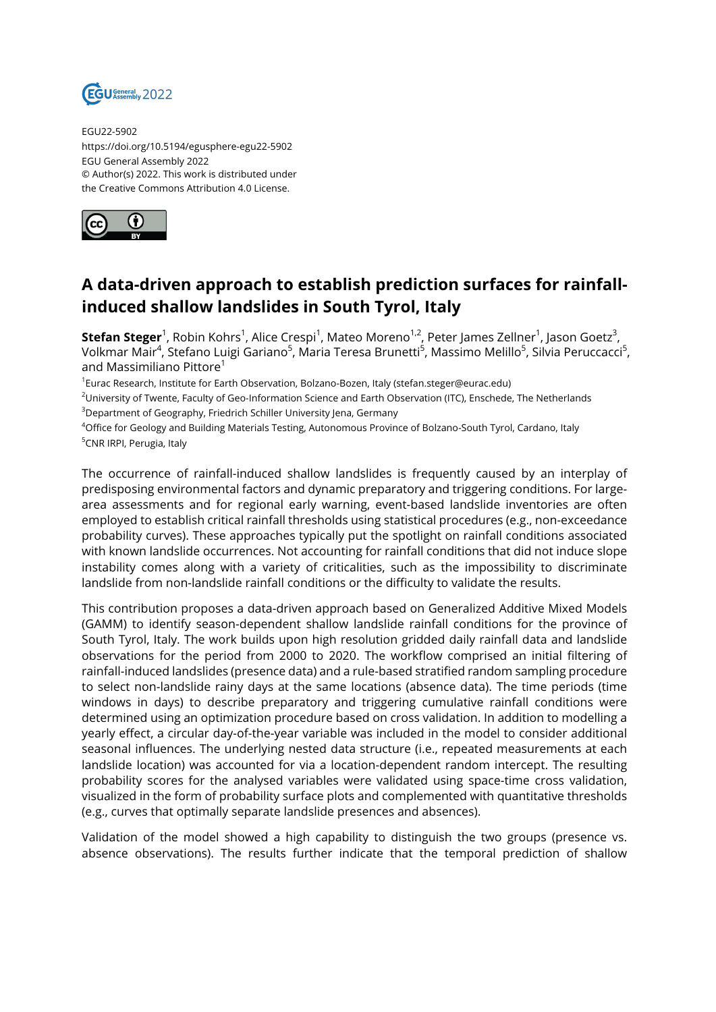

EGU22-5902 https://doi.org/10.5194/egusphere-egu22-5902 EGU General Assembly 2022 © Author(s) 2022. This work is distributed under the Creative Commons Attribution 4.0 License.



## **A data-driven approach to establish prediction surfaces for rainfallinduced shallow landslides in South Tyrol, Italy**

**Stefan Steger**<sup>1</sup>, Robin Kohrs<sup>1</sup>, Alice Crespi<sup>1</sup>, Mateo Moreno<sup>1,2</sup>, Peter James Zellner<sup>1</sup>, Jason Goetz<sup>3</sup>, Volkmar Mair<sup>4</sup>, Stefano Luigi Gariano<sup>5</sup>, Maria Teresa Brunetti<sup>5</sup>, Massimo Melillo<sup>5</sup>, Silvia Peruccacci<sup>5</sup>, and Massimiliano Pittore<sup>1</sup>

1 Eurac Research, Institute for Earth Observation, Bolzano-Bozen, Italy (stefan.steger@eurac.edu)

<sup>2</sup>University of Twente, Faculty of Geo-Information Science and Earth Observation (ITC), Enschede, The Netherlands <sup>3</sup>Department of Geography, Friedrich Schiller University Jena, Germany

<sup>4</sup>Office for Geology and Building Materials Testing, Autonomous Province of Bolzano-South Tyrol, Cardano, Italy <sup>5</sup>CNR IRPI, Perugia, Italy

The occurrence of rainfall-induced shallow landslides is frequently caused by an interplay of predisposing environmental factors and dynamic preparatory and triggering conditions. For largearea assessments and for regional early warning, event-based landslide inventories are often employed to establish critical rainfall thresholds using statistical procedures (e.g., non-exceedance probability curves). These approaches typically put the spotlight on rainfall conditions associated with known landslide occurrences. Not accounting for rainfall conditions that did not induce slope instability comes along with a variety of criticalities, such as the impossibility to discriminate landslide from non-landslide rainfall conditions or the difficulty to validate the results.

This contribution proposes a data-driven approach based on Generalized Additive Mixed Models (GAMM) to identify season-dependent shallow landslide rainfall conditions for the province of South Tyrol, Italy. The work builds upon high resolution gridded daily rainfall data and landslide observations for the period from 2000 to 2020. The workflow comprised an initial filtering of rainfall-induced landslides (presence data) and a rule-based stratified random sampling procedure to select non-landslide rainy days at the same locations (absence data). The time periods (time windows in days) to describe preparatory and triggering cumulative rainfall conditions were determined using an optimization procedure based on cross validation. In addition to modelling a yearly effect, a circular day-of-the-year variable was included in the model to consider additional seasonal influences. The underlying nested data structure (i.e., repeated measurements at each landslide location) was accounted for via a location-dependent random intercept. The resulting probability scores for the analysed variables were validated using space-time cross validation, visualized in the form of probability surface plots and complemented with quantitative thresholds (e.g., curves that optimally separate landslide presences and absences).

Validation of the model showed a high capability to distinguish the two groups (presence vs. absence observations). The results further indicate that the temporal prediction of shallow